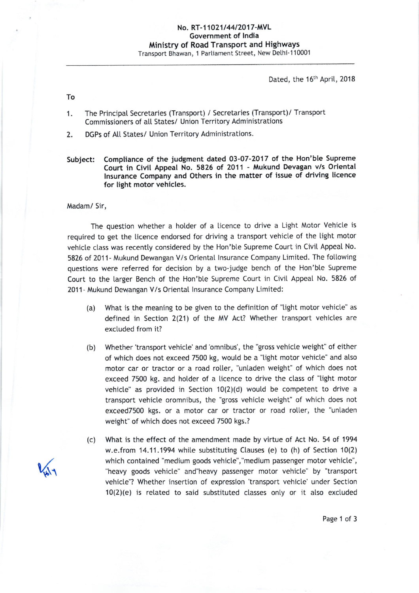Dated, the 16<sup>th</sup> April, 2018

To

- 1. The PrincipaI Secretaries (Transport) / Secretaries (Transport)/ Transport Commissioners of all States/ Union Territory Administrations
- 2. DGPs of All States/ Union Territory Administrations.
- subiect: compliance of the judgment dated 03-07-2017 of the Hon'ble supreme Court in Civil Appeat No. 5826 of 2O11 - Mukund Devagan v/s Oriental lnsurance Company and Others in the matter of issue of driving licence for light motor vehicles.

Madam/ Sir,

The question whether a holder of a licence to drive a Light Motor Vehicte is required to get the licence endorsed for driving a transport vehicle of the light motor vehicle class was recently considered by the Hon'ble Supreme Court in Civil Appeal No. 5826 of 2011- Mukund Dewangan V/s Oriental Insurance Company Limited. The following questions were referred for decision by a two-judge bench of the Hon'ble Supreme Court to the larger Bench of the Hon'ble Supreme Court in Civit Appeat No. 5826 of 2011- Mukund Dewangan V/s Oriental lnsurance Company Limited:

- (a) What is the meaning to be given to the definition of "light motor vehicle" as defined in Section 2(21) of the MV Act? Whether transport vehicles are excluded from it?
- Whether 'transport vehicle' and 'omnibus', the "gross vehicle weight" of either of which does not exceed 7500 kg, woutd be a "tight motor vehicte" and also motor car or tractor or a road rolter, "untaden weight" of which does not exceed 7500 kg. and hotder of a ticence to drive the class of "light motor vehicle" as provided in Section  $10(2)(d)$  would be competent to drive a transport vehicle oromnibus, the "gross vehicle weight" of which does not exceed7500 kgs. or a motor car or tractor or road roller, the "unladen weight" of which does not exceed 7500 kgs.? (b)
- What is the effect of the amendment made by virtue of Act No. 54 of 1994 w.e.from 14.11.1994 while substituting Clauses (e) to (h) of Section 10(2) which contained "medium goods vehicle", "medium passenger motor vehicle", "heavy goods vehicle" and"heavy passenger motor vehicle" by "transport vehicle"? Whether insertion of expression 'transport vehicte' under Section 10(2)(e) is retated to said substituted classes only or it also excluded (c)

(.